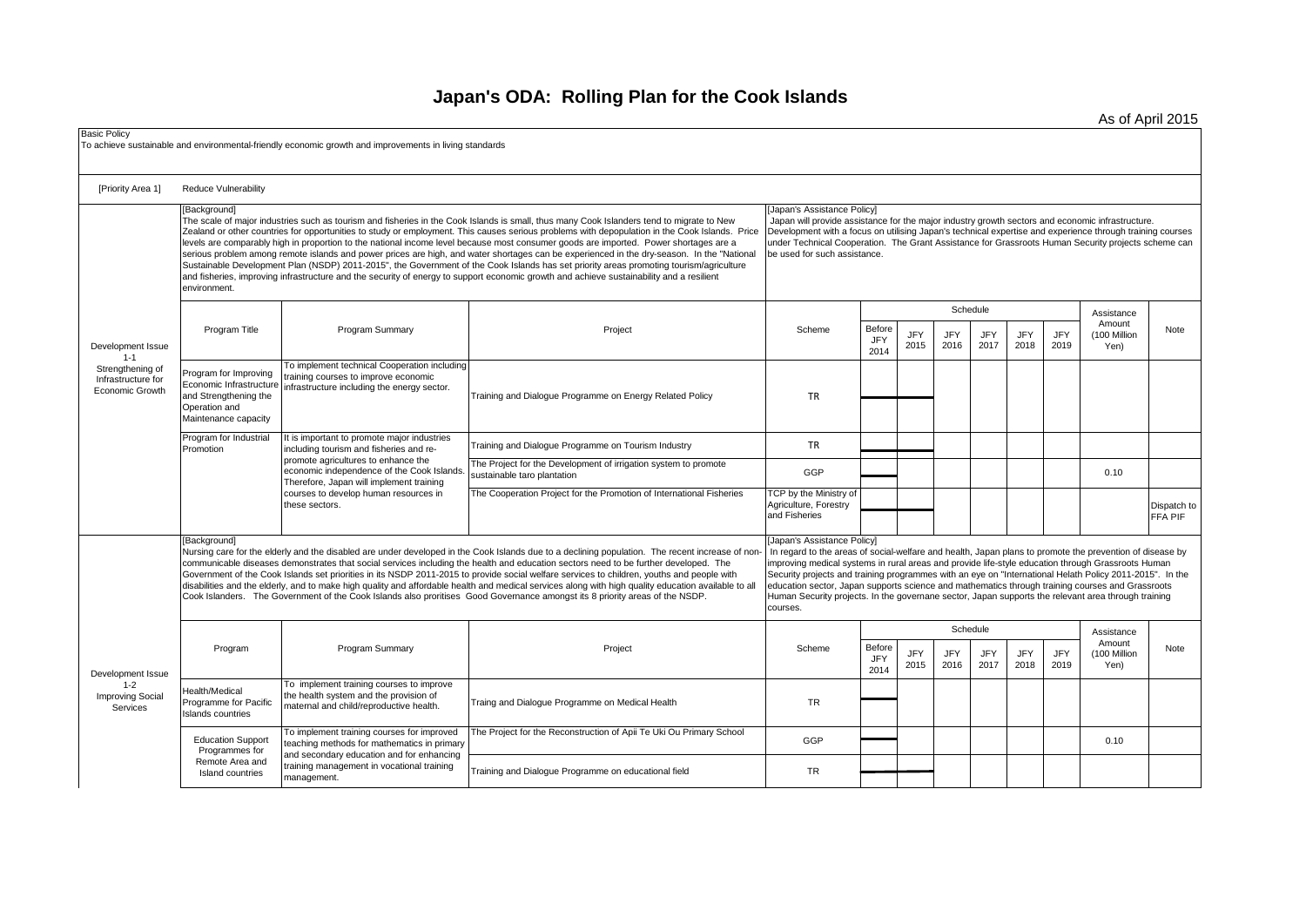## **Japan's ODA: Rolling Plan for the Cook Islands**

As of April 2015

| <b>Basic Policy</b>                                                                       |                                                                                                                                                                                                                                                                                                                                                                                                                                                                                                                                                                                                                                                                                                                                                                                                                                                                                                                                                                                                                                                                                                                                                                                                                                                                                                                                           | To achieve sustainable and environmental-friendly economic growth and improvements in living standards                                                                                                                                                                                                                                                                                                                                                                                                                                                                                                                                                                                                                                                                                                                                                                    |                                                                                                                                                                                                                                                                                                                                                                                           |                                                                  |                        |                    |             |                         |                    |                    |                                              |                        |
|-------------------------------------------------------------------------------------------|-------------------------------------------------------------------------------------------------------------------------------------------------------------------------------------------------------------------------------------------------------------------------------------------------------------------------------------------------------------------------------------------------------------------------------------------------------------------------------------------------------------------------------------------------------------------------------------------------------------------------------------------------------------------------------------------------------------------------------------------------------------------------------------------------------------------------------------------------------------------------------------------------------------------------------------------------------------------------------------------------------------------------------------------------------------------------------------------------------------------------------------------------------------------------------------------------------------------------------------------------------------------------------------------------------------------------------------------|---------------------------------------------------------------------------------------------------------------------------------------------------------------------------------------------------------------------------------------------------------------------------------------------------------------------------------------------------------------------------------------------------------------------------------------------------------------------------------------------------------------------------------------------------------------------------------------------------------------------------------------------------------------------------------------------------------------------------------------------------------------------------------------------------------------------------------------------------------------------------|-------------------------------------------------------------------------------------------------------------------------------------------------------------------------------------------------------------------------------------------------------------------------------------------------------------------------------------------------------------------------------------------|------------------------------------------------------------------|------------------------|--------------------|-------------|-------------------------|--------------------|--------------------|----------------------------------------------|------------------------|
| [Priority Area 1]                                                                         | Reduce Vulnerability                                                                                                                                                                                                                                                                                                                                                                                                                                                                                                                                                                                                                                                                                                                                                                                                                                                                                                                                                                                                                                                                                                                                                                                                                                                                                                                      |                                                                                                                                                                                                                                                                                                                                                                                                                                                                                                                                                                                                                                                                                                                                                                                                                                                                           |                                                                                                                                                                                                                                                                                                                                                                                           |                                                                  |                        |                    |             |                         |                    |                    |                                              |                        |
| Development Issue<br>$1 - 1$<br>Strengthening of<br>Infrastructure for<br>Economic Growth | [Background]<br>environment.                                                                                                                                                                                                                                                                                                                                                                                                                                                                                                                                                                                                                                                                                                                                                                                                                                                                                                                                                                                                                                                                                                                                                                                                                                                                                                              | The scale of major industries such as tourism and fisheries in the Cook Islands is small, thus many Cook Islanders tend to migrate to New<br>Zealand or other countries for opportunities to study or employment. This causes serious problems with depopulation in the Cook Islands. Price<br>levels are comparably high in proportion to the national income level because most consumer goods are imported. Power shortages are a<br>serious problem among remote islands and power prices are high, and water shortages can be experienced in the dry-season. In the "National<br>Sustainable Development Plan (NSDP) 2011-2015", the Government of the Cook Islands has set priority areas promoting tourism/agriculture<br>and fisheries, improving infrastructure and the security of energy to support economic growth and achieve sustainability and a resilient | <b>Japan's Assistance Policy]</b><br>Japan will provide assistance for the major industry growth sectors and economic infrastructure.<br>Development with a focus on utilising Japan's technical expertise and experience through training courses<br>under Technical Cooperation. The Grant Assistance for Grassroots Human Security projects scheme can<br>be used for such assistance. |                                                                  |                        |                    |             |                         |                    |                    |                                              |                        |
|                                                                                           | Program Title                                                                                                                                                                                                                                                                                                                                                                                                                                                                                                                                                                                                                                                                                                                                                                                                                                                                                                                                                                                                                                                                                                                                                                                                                                                                                                                             | Program Summary                                                                                                                                                                                                                                                                                                                                                                                                                                                                                                                                                                                                                                                                                                                                                                                                                                                           | Project                                                                                                                                                                                                                                                                                                                                                                                   | Scheme                                                           | Before<br>JFY<br>2014  | <b>JFY</b><br>2015 | JFY<br>2016 | Schedule<br>JFY<br>2017 | JFY<br>2018        | JFY<br>2019        | Assistance<br>Amount<br>(100 Million<br>Yen) | Note                   |
|                                                                                           | Program for Improving<br>Economic Infrastructure<br>and Strengthening the<br>Operation and<br>Maintenance capacity                                                                                                                                                                                                                                                                                                                                                                                                                                                                                                                                                                                                                                                                                                                                                                                                                                                                                                                                                                                                                                                                                                                                                                                                                        | To implement technical Cooperation including<br>training courses to improve economic<br>infrastructure including the energy sector.                                                                                                                                                                                                                                                                                                                                                                                                                                                                                                                                                                                                                                                                                                                                       | Fraining and Dialogue Programme on Energy Related Policy                                                                                                                                                                                                                                                                                                                                  | <b>TR</b>                                                        |                        |                    |             |                         |                    |                    |                                              |                        |
|                                                                                           | Program for Industrial<br>Promotion                                                                                                                                                                                                                                                                                                                                                                                                                                                                                                                                                                                                                                                                                                                                                                                                                                                                                                                                                                                                                                                                                                                                                                                                                                                                                                       | It is important to promote major industries<br>including tourism and fisheries and re-<br>promote agricultures to enhance the<br>economic independence of the Cook Islands.<br>Therefore, Japan will implement training<br>courses to develop human resources in<br>these sectors.                                                                                                                                                                                                                                                                                                                                                                                                                                                                                                                                                                                        | Training and Dialogue Programme on Tourism Industry<br>The Project for the Development of irrigation system to promote<br>sustainable taro plantation                                                                                                                                                                                                                                     | TR<br>GGP                                                        |                        |                    |             |                         |                    |                    | 0.10                                         |                        |
|                                                                                           |                                                                                                                                                                                                                                                                                                                                                                                                                                                                                                                                                                                                                                                                                                                                                                                                                                                                                                                                                                                                                                                                                                                                                                                                                                                                                                                                           |                                                                                                                                                                                                                                                                                                                                                                                                                                                                                                                                                                                                                                                                                                                                                                                                                                                                           | The Cooperation Project for the Promotion of International Fisheries                                                                                                                                                                                                                                                                                                                      | TCP by the Ministry of<br>Agriculture, Forestry<br>and Fisheries |                        |                    |             |                         |                    |                    |                                              | Dispatch to<br>FFA PIF |
|                                                                                           | [Japan's Assistance Policy]<br><b>IBackgroundl</b><br>Nursing care for the elderly and the disabled are under developed in the Cook Islands due to a declining population. The recent increase of non-<br>In regard to the areas of social-welfare and health, Japan plans to promote the prevention of disease by<br>communicable diseases demonstrates that social services including the health and education sectors need to be further developed. The<br>improving medical systems in rural areas and provide life-style education through Grassroots Human<br>Security projects and training programmes with an eye on "International Helath Policy 2011-2015". In the<br>Government of the Cook Islands set priorities in its NSDP 2011-2015 to provide social welfare services to children, youths and people with<br>disabilities and the elderly, and to make high quality and affordable health and medical services along with high quality education available to all<br>education sector, Japan supports science and mathematics through training courses and Grassroots<br>Cook Islanders. The Government of the Cook Islands also proritises Good Governance amongst its 8 priority areas of the NSDP.<br>Human Security projects. In the governane sector, Japan supports the relevant area through training<br>courses. |                                                                                                                                                                                                                                                                                                                                                                                                                                                                                                                                                                                                                                                                                                                                                                                                                                                                           |                                                                                                                                                                                                                                                                                                                                                                                           |                                                                  |                        |                    |             |                         |                    |                    |                                              |                        |
| Development Issue<br>$1 - 2$<br><b>Improving Social</b><br>Services                       | Program                                                                                                                                                                                                                                                                                                                                                                                                                                                                                                                                                                                                                                                                                                                                                                                                                                                                                                                                                                                                                                                                                                                                                                                                                                                                                                                                   | Program Summary                                                                                                                                                                                                                                                                                                                                                                                                                                                                                                                                                                                                                                                                                                                                                                                                                                                           | Project                                                                                                                                                                                                                                                                                                                                                                                   | Scheme                                                           | Schedule<br>Assistance |                    |             |                         |                    |                    |                                              |                        |
|                                                                                           |                                                                                                                                                                                                                                                                                                                                                                                                                                                                                                                                                                                                                                                                                                                                                                                                                                                                                                                                                                                                                                                                                                                                                                                                                                                                                                                                           |                                                                                                                                                                                                                                                                                                                                                                                                                                                                                                                                                                                                                                                                                                                                                                                                                                                                           |                                                                                                                                                                                                                                                                                                                                                                                           |                                                                  | Before<br>JFY<br>2014  | <b>JFY</b><br>2015 | JFY<br>2016 | <b>JFY</b><br>2017      | <b>JFY</b><br>2018 | <b>JFY</b><br>2019 | Amount<br>(100 Million<br>Yen)               | Note                   |
|                                                                                           | Health/Medical<br>Programme for Pacific<br>Islands countries                                                                                                                                                                                                                                                                                                                                                                                                                                                                                                                                                                                                                                                                                                                                                                                                                                                                                                                                                                                                                                                                                                                                                                                                                                                                              | To implement training courses to improve<br>the health system and the provision of<br>maternal and child/reproductive health.                                                                                                                                                                                                                                                                                                                                                                                                                                                                                                                                                                                                                                                                                                                                             | Traing and Dialogue Programme on Medical Health                                                                                                                                                                                                                                                                                                                                           | <b>TR</b>                                                        |                        |                    |             |                         |                    |                    |                                              |                        |
|                                                                                           | <b>Education Support</b><br>Programmes for<br>Remote Area and<br>Island countries                                                                                                                                                                                                                                                                                                                                                                                                                                                                                                                                                                                                                                                                                                                                                                                                                                                                                                                                                                                                                                                                                                                                                                                                                                                         | To implement training courses for improved<br>teaching methods for mathematics in primary<br>and secondary education and for enhancing<br>training management in vocational training<br>management.                                                                                                                                                                                                                                                                                                                                                                                                                                                                                                                                                                                                                                                                       | The Project for the Reconstruction of Apii Te Uki Ou Primary School                                                                                                                                                                                                                                                                                                                       | GGP                                                              |                        |                    |             |                         |                    |                    | 0.10                                         |                        |
|                                                                                           |                                                                                                                                                                                                                                                                                                                                                                                                                                                                                                                                                                                                                                                                                                                                                                                                                                                                                                                                                                                                                                                                                                                                                                                                                                                                                                                                           |                                                                                                                                                                                                                                                                                                                                                                                                                                                                                                                                                                                                                                                                                                                                                                                                                                                                           | Training and Dialogue Programme on educational field                                                                                                                                                                                                                                                                                                                                      | <b>TR</b>                                                        |                        |                    |             |                         |                    |                    |                                              |                        |